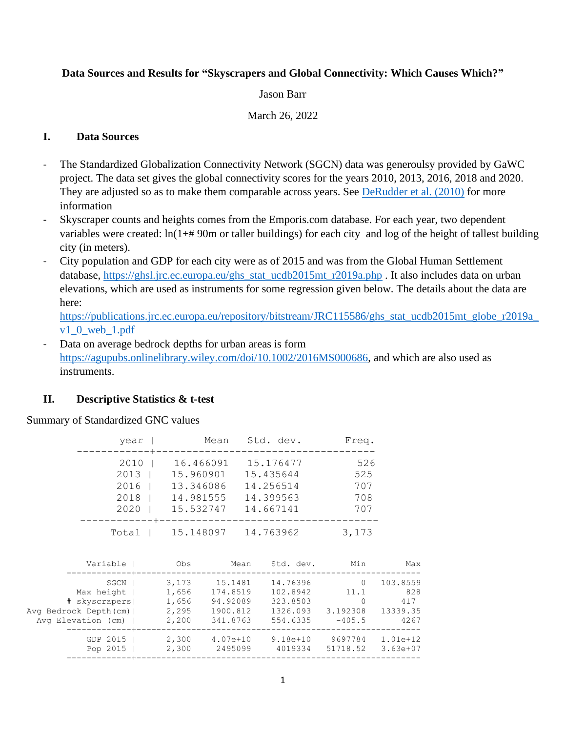## **Data Sources and Results for "Skyscrapers and Global Connectivity: Which Causes Which?"**

## Jason Barr

## March 26, 2022

## **I. Data Sources**

- The Standardized Globalization Connectivity Network (SGCN) data was generoulsy provided by GaWC project. The data set gives the global connectivity scores for the years 2010, 2013, 2016, 2018 and 2020. They are adjusted so as to make them comparable across years. See [DeRudder et](https://journals.sagepub.com/doi/pdf/10.1177/0042098010372682?casa_token=zbdnQ0uj9ioAAAAA:YYNmI93yEFS95CdF-Yf03aYSZ8yT3t3BLtJY-6wO3vZoYQxb1KB_bBGvrK1CWWdAmUtP0hSNsYa7) al. (2010) for more information
- Skyscraper counts and heights comes from the Emporis.com database. For each year, two dependent variables were created: ln(1+# 90m or taller buildings) for each city and log of the height of tallest building city (in meters).
- City population and GDP for each city were as of 2015 and was from the Global Human Settlement database, [https://ghsl.jrc.ec.europa.eu/ghs\\_stat\\_ucdb2015mt\\_r2019a.php](https://ghsl.jrc.ec.europa.eu/ghs_stat_ucdb2015mt_r2019a.php) . It also includes data on urban elevations, which are used as instruments for some regression given below. The details about the data are here:

- Data on average bedrock depths for urban areas is form [https://agupubs.onlinelibrary.wiley.com/doi/10.1002/2016MS000686,](https://agupubs.onlinelibrary.wiley.com/doi/10.1002/2016MS000686) and which are also used as instruments.

## **II. Descriptive Statistics & t-test**

Summary of Standardized GNC values

| year                                 | Mean                                                          | Std. dev.                                                     | Freq.                           |
|--------------------------------------|---------------------------------------------------------------|---------------------------------------------------------------|---------------------------------|
| 2010<br>2013<br>2016<br>2018<br>2020 | 16.466091<br>15.960901<br>13.346086<br>14.981555<br>15.532747 | 15.176477<br>15.435644<br>14.256514<br>14.399563<br>14.667141 | 526<br>525<br>707<br>708<br>707 |
| Total                                | 15.148097                                                     | 14.763962                                                     | 3,173                           |

| Variable                                                                               | Obs                                       | Mean                                                    | Std. dev.                                                | Min                               | Max                                        |
|----------------------------------------------------------------------------------------|-------------------------------------------|---------------------------------------------------------|----------------------------------------------------------|-----------------------------------|--------------------------------------------|
| SGCN<br>Max height<br># skyscrapers <br>Avg Bedrock Depth (cm)  <br>Avg Elevation (cm) | 3,173<br>1,656<br>1,656<br>2,295<br>2,200 | 15.1481<br>174.8519<br>94.92089<br>1900.812<br>341.8763 | 14.76396<br>102.8942<br>323.8503<br>1326.093<br>554.6335 | 0<br>11.1<br>3.192308<br>$-405.5$ | 103.8559<br>828<br>417<br>13339.35<br>4267 |
| GDP 2015<br>Pop 2015                                                                   | 2,300<br>2,300                            | $4.07e + 10$<br>2495099                                 | $9.18e + 10$<br>4019334                                  | 9697784<br>51718.52               | 1.01e+12<br>$3.63e+07$                     |

[https://publications.jrc.ec.europa.eu/repository/bitstream/JRC115586/ghs\\_stat\\_ucdb2015mt\\_globe\\_r2019a\\_](https://publications.jrc.ec.europa.eu/repository/bitstream/JRC115586/ghs_stat_ucdb2015mt_globe_r2019a_v1_0_web_1.pdf) [v1\\_0\\_web\\_1.pdf](https://publications.jrc.ec.europa.eu/repository/bitstream/JRC115586/ghs_stat_ucdb2015mt_globe_r2019a_v1_0_web_1.pdf)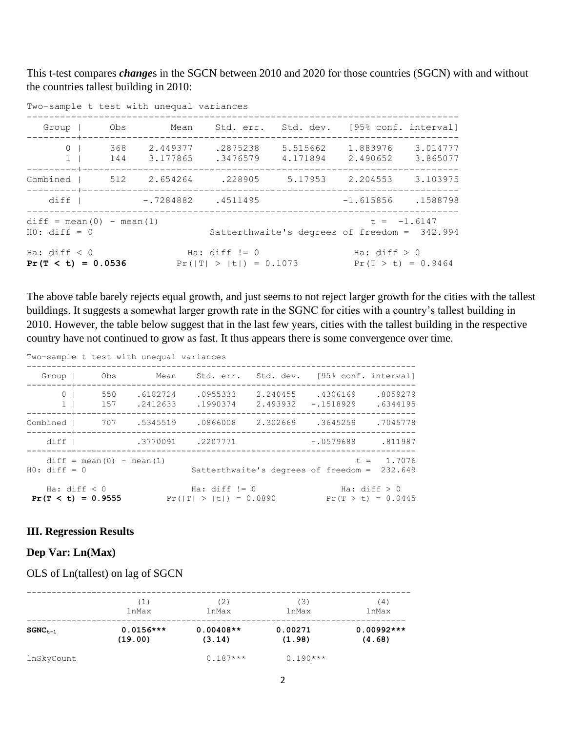This t-test compares *change*s in the SGCN between 2010 and 2020 for those countries (SGCN) with and without the countries tallest building in 2010:

| Group                      |                            |                              | Obs Mean Std. err. Std. dev. [95% conf. interval] |                      |                                                               |                      |
|----------------------------|----------------------------|------------------------------|---------------------------------------------------|----------------------|---------------------------------------------------------------|----------------------|
| $\Omega$<br>1 <sup>1</sup> | ---------+---------------- | 368 2.449377<br>144 3.177865 | .2875238<br>.3476579                              | 5.515662<br>4.171894 | 1.883976<br>2.490652                                          | 3.014777<br>3.865077 |
|                            |                            |                              | Combined l 512 2.654264 .228905 5.17953 2.204553  |                      |                                                               | 3.103975             |
|                            |                            | diff   -.7284882 .4511495    |                                                   |                      | $-1.615856$ .1588798                                          |                      |
| $HO: diff = 0$             | $diff = mean(0) - mean(1)$ |                              |                                                   |                      | $t = -1.6147$<br>Satterthwaite's degrees of freedom = 342.994 |                      |
| Ha: $diff < 0$             | $Pr(T < t) = 0.0536$       |                              | Ha: $diff$ != 0<br>$Pr( T  >  t ) = 0.1073$       |                      | Ha: $diff > 0$<br>$Pr(T > t) = 0.9464$                        |                      |

Two-sample t test with unequal variances

The above table barely rejects equal growth, and just seems to not reject larger growth for the cities with the tallest buildings. It suggests a somewhat larger growth rate in the SGNC for cities with a country's tallest building in 2010. However, the table below suggest that in the last few years, cities with the tallest building in the respective country have not continued to grow as fast. It thus appears there is some convergence over time.

Two-sample t test with unequal variances

| Group                            |                                        |                          |                      |                          | Obs Mean Std. err. Std. dev. [95% conf. interval] |                      |
|----------------------------------|----------------------------------------|--------------------------|----------------------|--------------------------|---------------------------------------------------|----------------------|
| 0 <sub>1</sub><br>1 <sup>1</sup> | 550<br>---------+-----------------     | .6182724<br>157 .2412633 | .0955333<br>.1990374 | 2.240455<br>2.493932     | .4306169<br>$-.1518929$                           | .8059279<br>.6344195 |
|                                  | Combined   707 .5345519                |                          |                      |                          |                                                   | .7045778             |
| diff                             |                                        | .3770091 .2207771        |                      |                          | $-.0579688811987$                                 |                      |
| $HO: diff = 0$                   | $diff = mean(0) - mean(1)$             |                          |                      |                          | Satterthwaite's degrees of freedom = 232.649      | $t = 1.7076$         |
|                                  | Ha: $diff < 0$<br>$Pr(T < t) = 0.9555$ |                          | Ha: $diff$ != 0      | $Pr( T  >  t ) = 0.0890$ | Ha: $diff > 0$<br>$Pr(T > t) = 0.0445$            |                      |

#### **III. Regression Results**

### **Dep Var: Ln(Max)**

OLS of Ln(tallest) on lag of SGCN

|              | (1)         | (2)         | (3)        | (4)           |
|--------------|-------------|-------------|------------|---------------|
|              | lnMax       | lnMax       | lnMax      | lnMax         |
| $SGNC_{+-1}$ | $0.0156***$ | $0.00408**$ | 0.00271    | $0.00992$ *** |
|              | (19.00)     | (3.14)      | (1.98)     | (4.68)        |
| lnSkyCount   |             | $0.187***$  | $0.190***$ |               |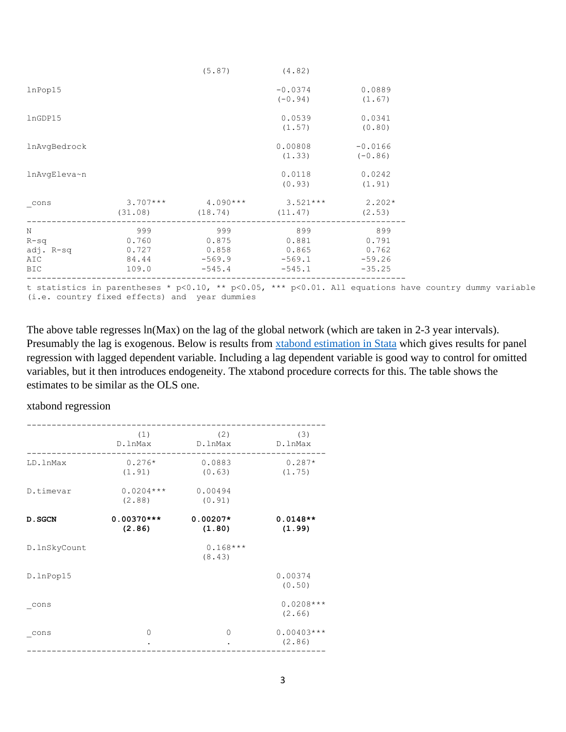|              |            | (5.87)     | (4.82)                                                                                                      |           |
|--------------|------------|------------|-------------------------------------------------------------------------------------------------------------|-----------|
| lnPop15      |            |            | $-0.0374$                                                                                                   | 0.0889    |
|              |            |            | $(-0.94)$                                                                                                   | (1.67)    |
| lnGDP15      |            |            | 0.0539                                                                                                      | 0.0341    |
|              |            |            | (1.57)                                                                                                      | (0.80)    |
| lnAvqBedrock |            |            | 0.00808                                                                                                     | $-0.0166$ |
|              |            |            | (1.33)                                                                                                      | $(-0.86)$ |
| lnAvqEleva~n |            |            | 0.0118                                                                                                      | 0.0242    |
|              |            |            | (0.93)                                                                                                      | (1.91)    |
| cons         | $3.707***$ | $4.090***$ | $3.521***$                                                                                                  | $2.202*$  |
|              | (31.08)    | (18.74)    | (11.47)                                                                                                     | (2.53)    |
| N            | 999        | 999        | 899                                                                                                         | 899       |
| $R-Sq$       | 0.760      | 0.875      | 0.881                                                                                                       | 0.791     |
| adj. R-sq    | 0.727      | 0.858      | 0.865                                                                                                       | 0.762     |
| AIC          | 84.44      | $-569.9$   | $-569.1$                                                                                                    | $-59.26$  |
| <b>BIC</b>   | 109.0      | $-545.4$   | $-545.1$                                                                                                    | $-35.25$  |
|              |            |            | $+$ otatiotics in parentheses $\star$ p/0 10 $\star\star$ p/0 05 $\star\star\star$ p/0 01 01 0 012tieses ba |           |

\* p<0.05, \*\*\* p<0.01. All equations have country dummy variable t statistics in parentheses \*  $p<0.10$ , \*\*  $p<0.05$ <br>(i.e. country fixed effects) and year dummies

The above table regresses ln(Max) on the lag of the global network (which are taken in 2-3 year intervals). Presumably the lag is exogenous. Below is results from [xtabond estimation](https://www.google.com/url?sa=t&rct=j&q=&esrc=s&source=web&cd=&ved=2ahUKEwjow7Tnt-b2AhU7jokEHZ4WDooQFnoECBgQAQ&url=https%3A%2F%2Fwww.stata.com%2Fmanuals%2Fxtxtabond.pdf&usg=AOvVaw1YdyuB42atZY6QonGgHTRs) in Stata which gives results for panel regression with lagged dependent variable. Including a lag dependent variable is good way to control for omitted variables, but it then introduces endogeneity. The xtabond procedure corrects for this. The table shows the estimates to be similar as the OLS one.

#### xtabond regression

|              | (1)<br>D.lnMax         | (2)<br>D.lnMax       | (3)<br>D.lnMax         |
|--------------|------------------------|----------------------|------------------------|
| LD. 1nMax    | $0.276*$<br>(1.91)     | 0.0883<br>(0.63)     | $0.287*$<br>(1.75)     |
| D.timevar    | $0.0204***$<br>(2.88)  | 0.00494<br>(0.91)    |                        |
| D.SGCN       | $0.00370***$<br>(2.86) | $0.00207*$<br>(1.80) | $0.0148**$<br>(1.99)   |
| D.lnSkyCount |                        | $0.168***$<br>(8.43) |                        |
| D.lnPop15    |                        |                      | 0.00374<br>(0.50)      |
| cons         |                        |                      | $0.0208***$<br>(2.66)  |
| cons         | 0                      | 0                    | $0.00403***$<br>(2.86) |
|              |                        |                      |                        |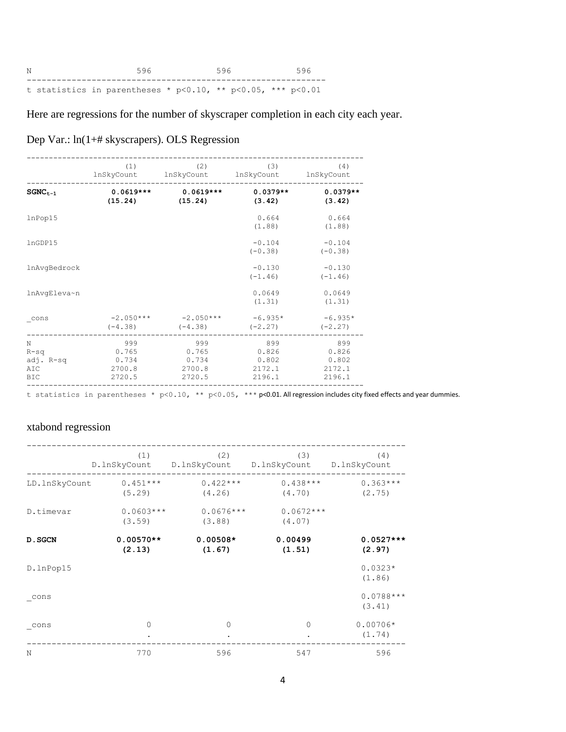| N |  | 596                                                                 |  | 596 |  | 596 |
|---|--|---------------------------------------------------------------------|--|-----|--|-----|
|   |  | t statistics in parentheses * $p<0.10$ , ** $p<0.05$ , *** $p<0.01$ |  |     |  |     |

Here are regressions for the number of skyscraper completion in each city each year.

|  |  |  |  |  |  | Dep Var.: ln(1+# skyscrapers). OLS Regression |  |
|--|--|--|--|--|--|-----------------------------------------------|--|
|--|--|--|--|--|--|-----------------------------------------------|--|

|              | (1)         | (2)         | (3)                   | (4)                   |
|--------------|-------------|-------------|-----------------------|-----------------------|
|              | lnSkyCount  | lnSkyCount  | lnSkyCount            | lnSkyCount            |
| $SGNC_{t-1}$ | $0.0619***$ | $0.0619***$ | $0.0379**$            | $0.0379**$            |
|              | (15.24)     | (15.24)     | (3.42)                | (3.42)                |
| lnPop15      |             |             | 0.664<br>(1.88)       | 0.664<br>(1.88)       |
| lnGDP15      |             |             | $-0.104$<br>$(-0.38)$ | $-0.104$<br>$(-0.38)$ |
| lnAvqBedrock |             |             | $-0.130$<br>$(-1.46)$ | $-0.130$<br>$(-1.46)$ |
| lnAvqEleva~n |             |             | 0.0649<br>(1.31)      | 0.0649<br>(1.31)      |
| cons         | $-2.050***$ | $-2.050***$ | $-6.935*$             | $-6.935*$             |
|              | $(-4.38)$   | $(-4.38)$   | $(-2.27)$             | $(-2.27)$             |
| N            | 999         | 999         | 899                   | 899                   |
| $R-Sq$       | 0.765       | 0.765       | 0.826                 | 0.826                 |
| adj. R-sq    | 0.734       | 0.734       | 0.802                 | 0.802                 |
| AIC          | 2700.8      | 2700.8      | 2172.1                | 2172.1                |
| <b>BIC</b>   | 2720.5      | 2720.5      | 2196.1                | 2196.1                |

t statistics in parentheses \*  $p<0.10$ , \*\*  $p<0.05$ , \*\*\* p<0.01. All regression includes city fixed effects and year dummies.

# xtabond regression

|               | (1)<br>D.lnSkyCount   | (2)<br>D.lnSkyCount   | (3)<br>D.lnSkyCount   | (4)<br>D.lnSkyCount   |
|---------------|-----------------------|-----------------------|-----------------------|-----------------------|
| LD.lnSkyCount | $0.451***$<br>(5.29)  | $0.422***$<br>(4.26)  | $0.438***$<br>(4.70)  | $0.363***$<br>(2.75)  |
| D.timevar     | $0.0603***$<br>(3.59) | $0.0676***$<br>(3.88) | $0.0672***$<br>(4.07) |                       |
| D.SGCN        | $0.00570**$<br>(2.13) | $0.00508*$<br>(1.67)  | 0.00499<br>(1.51)     | $0.0527***$<br>(2.97) |
| D.lnPop15     |                       |                       |                       | $0.0323*$<br>(1.86)   |
| cons          |                       |                       |                       | $0.0788***$<br>(3.41) |
| cons          | $\Omega$              | $\Omega$              | $\Omega$              | $0.00706*$<br>(1.74)  |
| N             | 770                   | 596                   | 547                   | 596                   |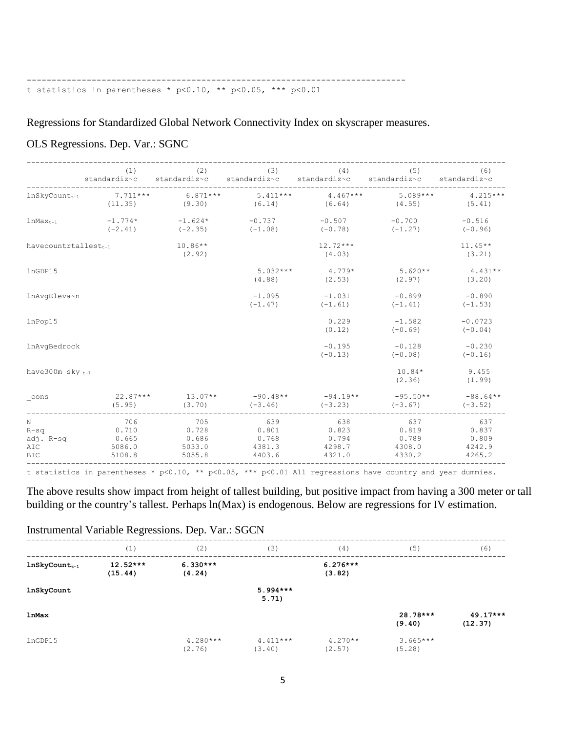#### --------------------------------------------------------------------------- t statistics in parentheses \* p<0.10, \*\* p<0.05, \*\*\* p<0.01

#### Regressions for Standardized Global Network Connectivity Index on skyscraper measures.

#### ------------------------------------------------------------------------------------------------------------ (1) (2) (3) (4) (5) (6) standardiz~c standardiz~c standardiz~c standardiz~c standardiz~c standardiz~c ------------------------------------------------------------------------------------------------------------  $\text{lnSkyCount}_{t-1}$  7.711\*\*\* 6.871\*\*\* 5.411\*\*\* 4.467\*\*\* 5.089\*\*\* 4.215\*\*\*  $(11.35)$   $(9.30)$   $(6.14)$   $(6.64)$   $(4.55)$   $(5.41)$  $lnMax_{t-1}$  -1.774\* -1.624\* -0.737 -0.507 -0.700 -0.516  $(-2.41)$   $(-2.35)$   $(-1.08)$   $(-0.78)$   $(-1.27)$   $(-0.96)$ havecountrtallest<sub>t-1</sub> 10.86\*\* 12.72\*\*\* 12.72\*\*\* 11.45\*\* 11.45\*\* 11.45\*\* (2.92)  $(2.92)$   $(4.03)$   $(3.21)$ lnGDP15 5.032\*\*\* 4.779\* 5.620\*\* 4.431\*\*  $(4.88)$   $(2.53)$   $(2.97)$   $(3.20)$ lnAvgEleva~n -1.095 -1.031 -0.899 -0.890  $(-1.47)$   $(-1.61)$   $(-1.41)$   $(-1.53)$ lnPop15 0.229 -1.582 -0.0723  $(0.12)$   $(-0.69)$   $(-0.04)$ lnAvgBedrock -0.128 -0.230<br>
(-0.13) (-0.08) -0.16) -0.128 -0.230  $(-0.08)$ have 300m sky  $_{t-1}$  9.455  $(2.36)$   $(1.99)$  $\cos$  22.87\*\*\* 13.07\*\* -90.48\*\* -94.19\*\* -95.50\*\* -88.64\*\* (5.95) (3.70) (-3.46) (-3.23) (-3.67) (-3.52) ------------------------------------------------------------------------------------------------------------ N 706 705 639 638 637 637 637 R-sq 0.710 0.728 0.801 0.823 0.819 0.837 adj. R-sq 0.665 0.686 0.768 0.794 0.789 0.809 AIC 6086.0 5086.0 5033.0 4381.3 4298.7 4308.0 4242.9 BIC 5108.8 5055.8 4403.6 4321.0 4330.2 4265.2 ------------------------------------------------------------------------------------------------------------

## OLS Regressions. Dep. Var.: SGNC

t statistics in parentheses \* p<0.10, \*\* p<0.05, \*\*\* p<0.01 All regressions have country and year dummies.

The above results show impact from height of tallest building, but positive impact from having a 300 meter or tall building or the country's tallest. Perhaps ln(Max) is endogenous. Below are regressions for IV estimation.

Instrumental Variable Regressions. Dep. Var.: SGCN

|                              | (1)                   | (2)                  | (3)                  | (4)                  | (5)                  | (6)                   |
|------------------------------|-----------------------|----------------------|----------------------|----------------------|----------------------|-----------------------|
| $ln$ SkyCount <sub>t-1</sub> | $12.52***$<br>(15.44) | $6.330***$<br>(4.24) |                      | $6.276***$<br>(3.82) |                      |                       |
| lnSkyCount                   |                       |                      | $5.994***$<br>5.71   |                      |                      |                       |
| lnMax                        |                       |                      |                      |                      | 28.78***<br>(9.40)   | $49.17***$<br>(12.37) |
| lnGDP15                      |                       | $4.280***$<br>(2.76) | $4.411***$<br>(3.40) | $4.270**$<br>(2.57)  | $3.665***$<br>(5.28) |                       |